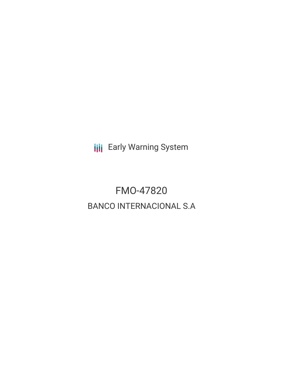**III** Early Warning System

FMO-47820 BANCO INTERNACIONAL S.A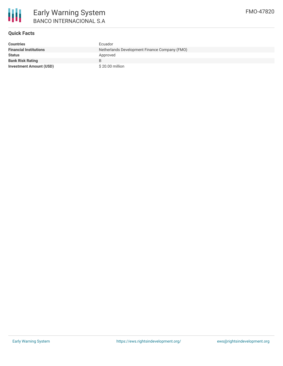

# **Quick Facts**

| <b>Countries</b>               | Ecuador                                       |
|--------------------------------|-----------------------------------------------|
| <b>Financial Institutions</b>  | Netherlands Development Finance Company (FMO) |
| <b>Status</b>                  | Approved                                      |
| <b>Bank Risk Rating</b>        | B                                             |
| <b>Investment Amount (USD)</b> | \$20.00 million                               |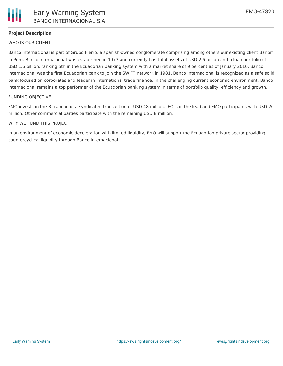# **Project Description**

### WHO IS OUR CLIENT

Banco Internacional is part of Grupo Fierro, a spanish-owned conglomerate comprising among others our existing client Banbif in Peru. Banco Internacional was established in 1973 and currently has total assets of USD 2.6 billion and a loan portfolio of USD 1.6 billion, ranking 5th in the Ecuadorian banking system with a market share of 9 percent as of January 2016. Banco Internacional was the first Ecuadorian bank to join the SWIFT network in 1981. Banco Internacional is recognized as a safe solid bank focused on corporates and leader in international trade finance. In the challenging current economic environment, Banco Internacional remains a top performer of the Ecuadorian banking system in terms of portfolio quality, efficiency and growth.

#### FUNDING OBJECTIVE

FMO invests in the B-tranche of a syndicated transaction of USD 48 million. IFC is in the lead and FMO participates with USD 20 million. Other commercial parties participate with the remaining USD 8 million.

#### WHY WE FUND THIS PROJECT

In an environment of economic deceleration with limited liquidity, FMO will support the Ecuadorian private sector providing countercyclical liquidity through Banco Internacional.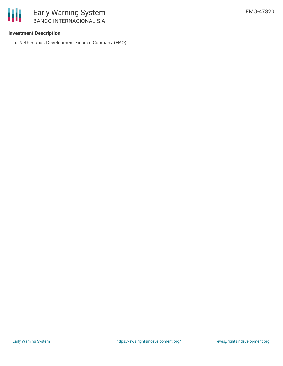## **Investment Description**

Netherlands Development Finance Company (FMO)